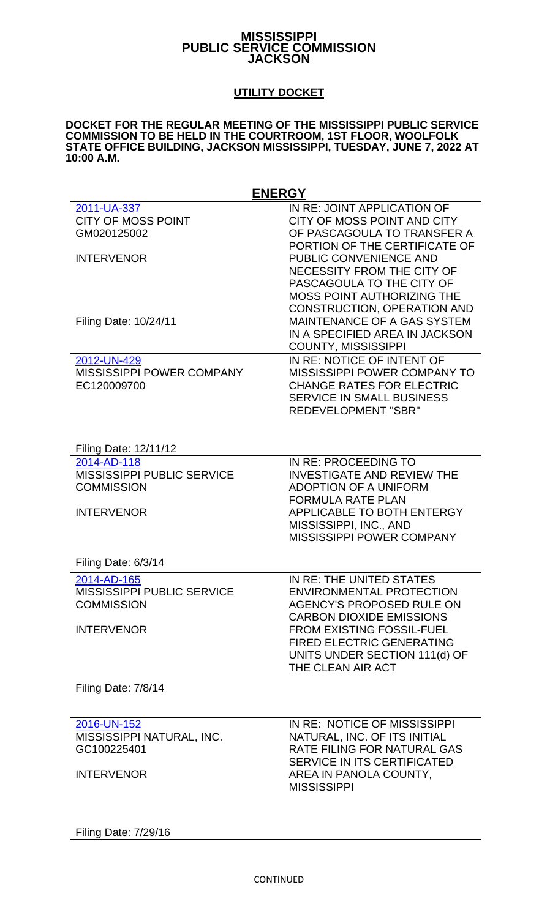## **MISSISSIPPI PUBLIC SERVICE COMMISSION JACKSON**

## **UTILITY DOCKET**

## **DOCKET FOR THE REGULAR MEETING OF THE MISSISSIPPI PUBLIC SERVICE COMMISSION TO BE HELD IN THE COURTROOM, 1ST FLOOR, WOOLFOLK STATE OFFICE BUILDING, JACKSON MISSISSIPPI, TUESDAY, JUNE 7, 2022 AT 10:00 A.M.**

| <b>ENERGY</b>                     |                                     |
|-----------------------------------|-------------------------------------|
| 2011-UA-337                       | IN RE: JOINT APPLICATION OF         |
| <b>CITY OF MOSS POINT</b>         | CITY OF MOSS POINT AND CITY         |
| GM020125002                       | OF PASCAGOULA TO TRANSFER A         |
|                                   | PORTION OF THE CERTIFICATE OF       |
| <b>INTERVENOR</b>                 | PUBLIC CONVENIENCE AND              |
|                                   | NECESSITY FROM THE CITY OF          |
|                                   | PASCAGOULA TO THE CITY OF           |
|                                   | <b>MOSS POINT AUTHORIZING THE</b>   |
|                                   | <b>CONSTRUCTION, OPERATION AND</b>  |
| Filing Date: 10/24/11             | MAINTENANCE OF A GAS SYSTEM         |
|                                   | IN A SPECIFIED AREA IN JACKSON      |
|                                   | <b>COUNTY, MISSISSIPPI</b>          |
| 2012-UN-429                       | IN RE: NOTICE OF INTENT OF          |
| <b>MISSISSIPPI POWER COMPANY</b>  | <b>MISSISSIPPI POWER COMPANY TO</b> |
| EC120009700                       | <b>CHANGE RATES FOR ELECTRIC</b>    |
|                                   | <b>SERVICE IN SMALL BUSINESS</b>    |
|                                   | <b>REDEVELOPMENT "SBR"</b>          |
|                                   |                                     |
|                                   |                                     |
| Filing Date: 12/11/12             |                                     |
| 2014-AD-118                       | IN RE: PROCEEDING TO                |
| <b>MISSISSIPPI PUBLIC SERVICE</b> | <b>INVESTIGATE AND REVIEW THE</b>   |
| <b>COMMISSION</b>                 | <b>ADOPTION OF A UNIFORM</b>        |
|                                   | <b>FORMULA RATE PLAN</b>            |
| <b>INTERVENOR</b>                 | <b>APPLICABLE TO BOTH ENTERGY</b>   |
|                                   | MISSISSIPPI, INC., AND              |
|                                   | <b>MISSISSIPPI POWER COMPANY</b>    |
|                                   |                                     |
| Filing Date: 6/3/14               |                                     |
| 2014-AD-165                       | IN RE: THE UNITED STATES            |
| MISSISSIPPI PUBLIC SERVICE        | <b>ENVIRONMENTAL PROTECTION</b>     |
| <b>COMMISSION</b>                 | <b>AGENCY'S PROPOSED RULE ON</b>    |
|                                   | <b>CARBON DIOXIDE EMISSIONS</b>     |
| <b>INTERVENOR</b>                 | <b>FROM EXISTING FOSSIL-FUEL</b>    |
|                                   | <b>FIRED ELECTRIC GENERATING</b>    |
|                                   | UNITS UNDER SECTION 111(d) OF       |
|                                   | THE CLEAN AIR ACT                   |
|                                   |                                     |
| Filing Date: 7/8/14               |                                     |
|                                   |                                     |
|                                   |                                     |
| 2016-UN-152                       | IN RE: NOTICE OF MISSISSIPPI        |
| MISSISSIPPI NATURAL, INC.         | NATURAL, INC. OF ITS INITIAL        |
| GC100225401                       | RATE FILING FOR NATURAL GAS         |
|                                   | <b>SERVICE IN ITS CERTIFICATED</b>  |
| <b>INTERVENOR</b>                 | AREA IN PANOLA COUNTY,              |
|                                   | <b>MISSISSIPPI</b>                  |
|                                   |                                     |

Filing Date: 7/29/16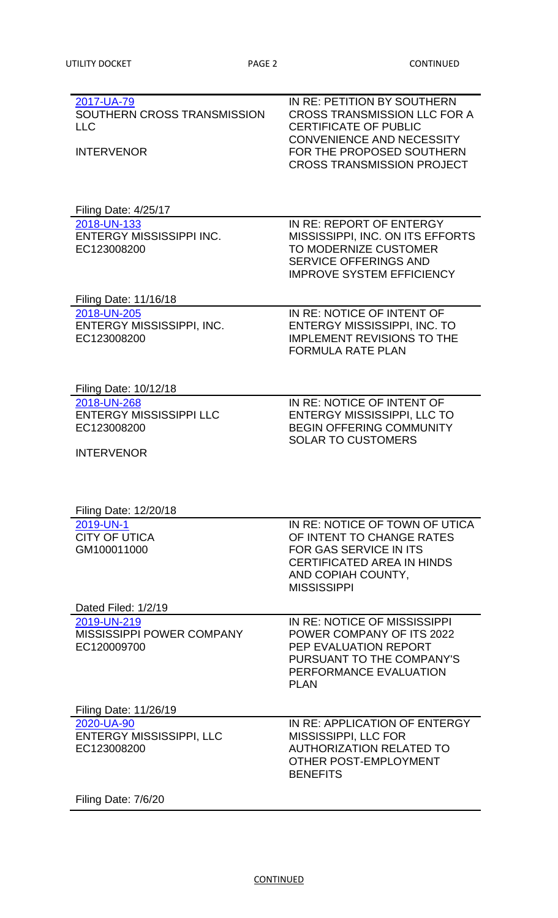| 2017-UA-79<br>SOUTHERN CROSS TRANSMISSION<br><b>LLC</b> | IN RE: PETITION BY SOUTHERN<br><b>CROSS TRANSMISSION LLC FOR A</b><br><b>CERTIFICATE OF PUBLIC</b><br><b>CONVENIENCE AND NECESSITY</b> |
|---------------------------------------------------------|----------------------------------------------------------------------------------------------------------------------------------------|
| <b>INTERVENOR</b>                                       | FOR THE PROPOSED SOUTHERN<br><b>CROSS TRANSMISSION PROJECT</b>                                                                         |
| Filing Date: 4/25/17                                    |                                                                                                                                        |
| 2018-UN-133                                             | IN RE: REPORT OF ENTERGY                                                                                                               |
| <b>ENTERGY MISSISSIPPI INC.</b><br>EC123008200          | MISSISSIPPI, INC. ON ITS EFFORTS<br>TO MODERNIZE CUSTOMER<br><b>SERVICE OFFERINGS AND</b><br><b>IMPROVE SYSTEM EFFICIENCY</b>          |
| Filing Date: 11/16/18                                   |                                                                                                                                        |
| 2018-UN-205                                             | IN RE: NOTICE OF INTENT OF                                                                                                             |
| ENTERGY MISSISSIPPI, INC.<br>EC123008200                | <b>ENTERGY MISSISSIPPI, INC. TO</b><br><b>IMPLEMENT REVISIONS TO THE</b><br><b>FORMULA RATE PLAN</b>                                   |
| Filing Date: 10/12/18                                   |                                                                                                                                        |
| 2018-UN-268                                             | IN RE: NOTICE OF INTENT OF                                                                                                             |
| <b>ENTERGY MISSISSIPPI LLC</b><br>EC123008200           | <b>ENTERGY MISSISSIPPI, LLC TO</b><br><b>BEGIN OFFERING COMMUNITY</b>                                                                  |
|                                                         | <b>SOLAR TO CUSTOMERS</b>                                                                                                              |
| <b>INTERVENOR</b>                                       |                                                                                                                                        |
|                                                         |                                                                                                                                        |
| Filing Date: 12/20/18                                   |                                                                                                                                        |
| 2019-UN-1                                               | IN RE: NOTICE OF TOWN OF UTICA                                                                                                         |
| <b>CITY OF UTICA</b><br>GM100011000                     | OF INTENT TO CHANGE RATES<br><b>FOR GAS SERVICE IN ITS</b>                                                                             |
|                                                         | <b>CERTIFICATED AREA IN HINDS</b>                                                                                                      |
|                                                         | AND COPIAH COUNTY,                                                                                                                     |
|                                                         | <b>MISSISSIPPI</b>                                                                                                                     |
| Dated Filed: 1/2/19                                     |                                                                                                                                        |
| 2019-UN-219                                             | IN RE: NOTICE OF MISSISSIPPI                                                                                                           |
| <b>MISSISSIPPI POWER COMPANY</b><br>EC120009700         | <b>POWER COMPANY OF ITS 2022</b><br>PEP EVALUATION REPORT                                                                              |
|                                                         | PURSUANT TO THE COMPANY'S                                                                                                              |
|                                                         | PERFORMANCE EVALUATION<br><b>PLAN</b>                                                                                                  |
|                                                         |                                                                                                                                        |
| Filing Date: 11/26/19<br>2020-UA-90                     | IN RE: APPLICATION OF ENTERGY                                                                                                          |
| <b>ENTERGY MISSISSIPPI, LLC</b>                         | MISSISSIPPI, LLC FOR                                                                                                                   |
| EC123008200                                             | <b>AUTHORIZATION RELATED TO</b>                                                                                                        |
|                                                         | OTHER POST-EMPLOYMENT<br><b>BENEFITS</b>                                                                                               |
|                                                         |                                                                                                                                        |

Filing Date: 7/6/20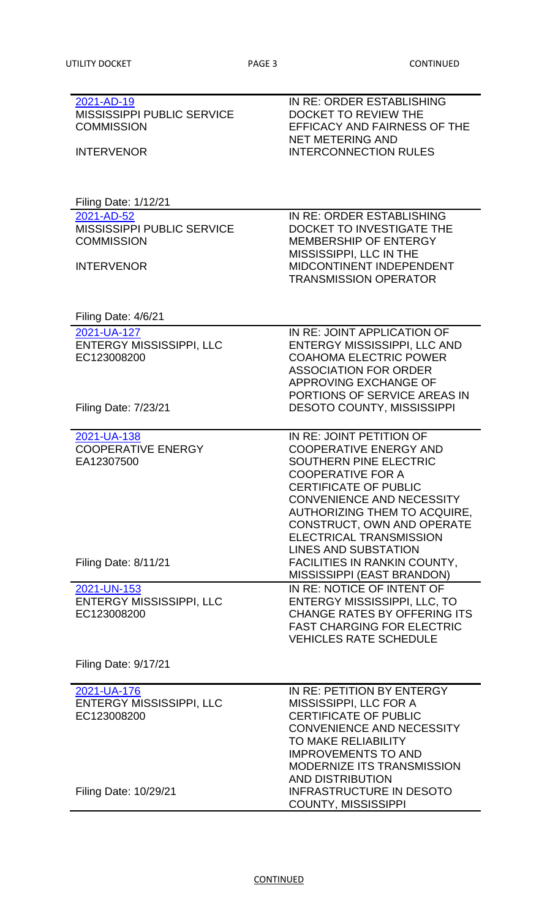| 2021-AD-19                        | IN RE: ORDER ESTABLISHING           |
|-----------------------------------|-------------------------------------|
| <b>MISSISSIPPI PUBLIC SERVICE</b> | <b>DOCKET TO REVIEW THE</b>         |
| <b>COMMISSION</b>                 | <b>EFFICACY AND FAIRNESS OF THE</b> |
|                                   | <b>NET METERING AND</b>             |
| <b>INTERVENOR</b>                 | <b>INTERCONNECTION RULES</b>        |
|                                   |                                     |
|                                   |                                     |
|                                   |                                     |
| <b>Filing Date: 1/12/21</b>       |                                     |
| 2021-AD-52                        | IN RE: ORDER ESTABLISHING           |
| <b>MISSISSIPPI PUBLIC SERVICE</b> | DOCKET TO INVESTIGATE THE           |
| <b>COMMISSION</b>                 | <b>MEMBERSHIP OF ENTERGY</b>        |
|                                   | MISSISSIPPI, LLC IN THE             |
| <b>INTERVENOR</b>                 | <b>MIDCONTINENT INDEPENDENT</b>     |
|                                   | <b>TRANSMISSION OPERATOR</b>        |
|                                   |                                     |
|                                   |                                     |
| Filing Date: 4/6/21               |                                     |
| 2021-UA-127                       | IN RE: JOINT APPLICATION OF         |
| <b>ENTERGY MISSISSIPPI, LLC</b>   | ENTERGY MISSISSIPPI, LLC AND        |
| EC123008200                       | <b>COAHOMA ELECTRIC POWER</b>       |
|                                   | <b>ASSOCIATION FOR ORDER</b>        |
|                                   | APPROVING EXCHANGE OF               |
|                                   | PORTIONS OF SERVICE AREAS IN        |
| <b>Filing Date: 7/23/21</b>       | <b>DESOTO COUNTY, MISSISSIPPI</b>   |
|                                   |                                     |
| 2021-UA-138                       | IN RE: JOINT PETITION OF            |
| <b>COOPERATIVE ENERGY</b>         | <b>COOPERATIVE ENERGY AND</b>       |
| EA12307500                        | SOUTHERN PINE ELECTRIC              |
|                                   | <b>COOPERATIVE FOR A</b>            |
|                                   | <b>CERTIFICATE OF PUBLIC</b>        |
|                                   |                                     |
|                                   | <b>CONVENIENCE AND NECESSITY</b>    |
|                                   | AUTHORIZING THEM TO ACQUIRE,        |
|                                   | CONSTRUCT, OWN AND OPERATE          |
|                                   | <b>ELECTRICAL TRANSMISSION</b>      |
|                                   | <b>LINES AND SUBSTATION</b>         |
| <b>Filing Date: 8/11/21</b>       | <b>FACILITIES IN RANKIN COUNTY,</b> |
|                                   | MISSISSIPPI (EAST BRANDON)          |
| 2021-UN-153                       | IN RE: NOTICE OF INTENT OF          |
| <b>ENTERGY MISSISSIPPI, LLC</b>   | <b>ENTERGY MISSISSIPPI, LLC, TO</b> |
| EC123008200                       | <b>CHANGE RATES BY OFFERING ITS</b> |
|                                   | <b>FAST CHARGING FOR ELECTRIC</b>   |
|                                   | <b>VEHICLES RATE SCHEDULE</b>       |
| <b>Filing Date: 9/17/21</b>       |                                     |
|                                   |                                     |
| 2021-UA-176                       | IN RE: PETITION BY ENTERGY          |
| <b>ENTERGY MISSISSIPPI, LLC</b>   | MISSISSIPPI, LLC FOR A              |
| EC123008200                       | <b>CERTIFICATE OF PUBLIC</b>        |
|                                   | <b>CONVENIENCE AND NECESSITY</b>    |
|                                   | <b>TO MAKE RELIABILITY</b>          |
|                                   | <b>IMPROVEMENTS TO AND</b>          |
|                                   | <b>MODERNIZE ITS TRANSMISSION</b>   |
|                                   | <b>AND DISTRIBUTION</b>             |
| Filing Date: 10/29/21             | <b>INFRASTRUCTURE IN DESOTO</b>     |
|                                   | <b>COUNTY, MISSISSIPPI</b>          |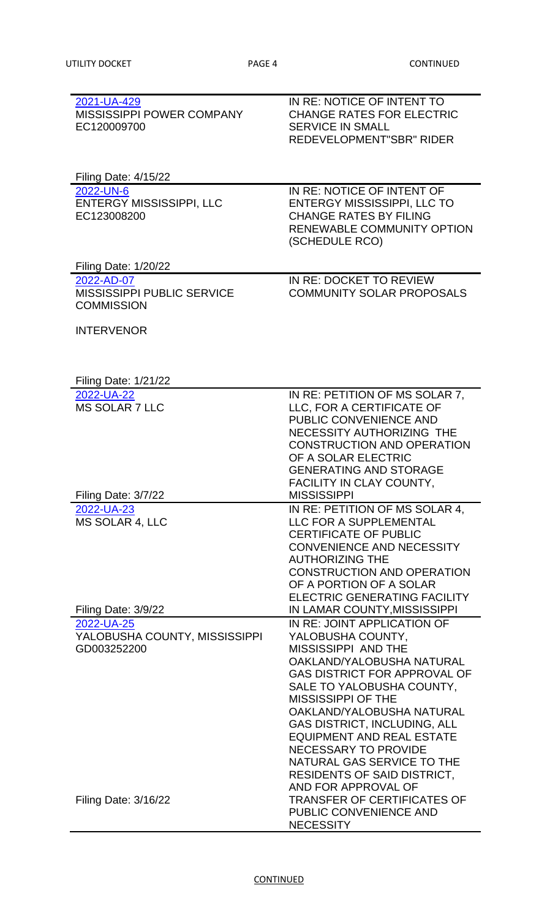| 2021-UA-429                       | IN RE: NOTICE OF INTENT TO          |
|-----------------------------------|-------------------------------------|
| <b>MISSISSIPPI POWER COMPANY</b>  | <b>CHANGE RATES FOR ELECTRIC</b>    |
| EC120009700                       | <b>SERVICE IN SMALL</b>             |
|                                   | <b>REDEVELOPMENT"SBR" RIDER</b>     |
|                                   |                                     |
|                                   |                                     |
| <b>Filing Date: 4/15/22</b>       |                                     |
| 2022-UN-6                         | IN RE: NOTICE OF INTENT OF          |
| <b>ENTERGY MISSISSIPPI, LLC</b>   | <b>ENTERGY MISSISSIPPI, LLC TO</b>  |
| EC123008200                       | <b>CHANGE RATES BY FILING</b>       |
|                                   | <b>RENEWABLE COMMUNITY OPTION</b>   |
|                                   | (SCHEDULE RCO)                      |
|                                   |                                     |
| Filing Date: 1/20/22              |                                     |
| 2022-AD-07                        | IN RE: DOCKET TO REVIEW             |
| <b>MISSISSIPPI PUBLIC SERVICE</b> | <b>COMMUNITY SOLAR PROPOSALS</b>    |
| <b>COMMISSION</b>                 |                                     |
|                                   |                                     |
| <b>INTERVENOR</b>                 |                                     |
|                                   |                                     |
|                                   |                                     |
| <b>Filing Date: 1/21/22</b>       |                                     |
| 2022-UA-22                        | IN RE: PETITION OF MS SOLAR 7,      |
| <b>MS SOLAR 7 LLC</b>             | LLC, FOR A CERTIFICATE OF           |
|                                   | PUBLIC CONVENIENCE AND              |
|                                   | NECESSITY AUTHORIZING THE           |
|                                   | <b>CONSTRUCTION AND OPERATION</b>   |
|                                   | OF A SOLAR ELECTRIC                 |
|                                   | <b>GENERATING AND STORAGE</b>       |
|                                   | <b>FACILITY IN CLAY COUNTY,</b>     |
| Filing Date: 3/7/22               | <b>MISSISSIPPI</b>                  |
| 2022-UA-23                        | IN RE: PETITION OF MS SOLAR 4,      |
| <b>MS SOLAR 4, LLC</b>            | LLC FOR A SUPPLEMENTAL              |
|                                   | <b>CERTIFICATE OF PUBLIC</b>        |
|                                   | <b>CONVENIENCE AND NECESSITY</b>    |
|                                   | <b>AUTHORIZING THE</b>              |
|                                   |                                     |
|                                   | <b>CONSTRUCTION AND OPERATION</b>   |
|                                   | OF A PORTION OF A SOLAR             |
|                                   | <b>ELECTRIC GENERATING FACILITY</b> |
| Filing Date: 3/9/22               | IN LAMAR COUNTY, MISSISSIPPI        |
| 2022-UA-25                        | IN RE: JOINT APPLICATION OF         |
| YALOBUSHA COUNTY, MISSISSIPPI     | YALOBUSHA COUNTY,                   |
| GD003252200                       | <b>MISSISSIPPI AND THE</b>          |
|                                   | OAKLAND/YALOBUSHA NATURAL           |
|                                   | <b>GAS DISTRICT FOR APPROVAL OF</b> |
|                                   | SALE TO YALOBUSHA COUNTY,           |
|                                   | <b>MISSISSIPPI OF THE</b>           |
|                                   | OAKLAND/YALOBUSHA NATURAL           |
|                                   | <b>GAS DISTRICT, INCLUDING, ALL</b> |
|                                   | <b>EQUIPMENT AND REAL ESTATE</b>    |
|                                   | <b>NECESSARY TO PROVIDE</b>         |
|                                   | NATURAL GAS SERVICE TO THE          |
|                                   | <b>RESIDENTS OF SAID DISTRICT,</b>  |
|                                   | AND FOR APPROVAL OF                 |
| <b>Filing Date: 3/16/22</b>       | <b>TRANSFER OF CERTIFICATES OF</b>  |
|                                   | PUBLIC CONVENIENCE AND              |
|                                   | <b>NECESSITY</b>                    |

**CONTINUED**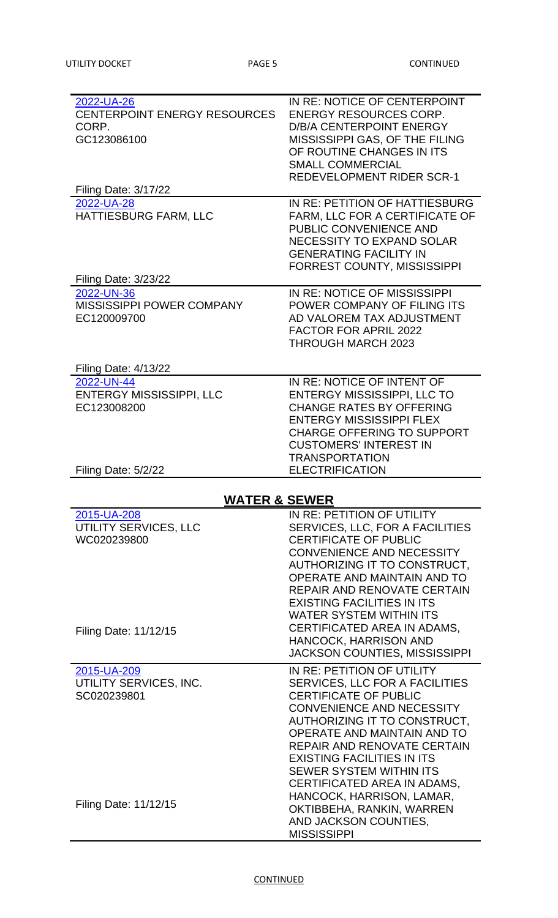| 2022-UA-26                          | IN RE: NOTICE OF CENTERPOINT                |
|-------------------------------------|---------------------------------------------|
| <b>CENTERPOINT ENERGY RESOURCES</b> | <b>ENERGY RESOURCES CORP.</b>               |
| CORP.                               | <b>D/B/A CENTERPOINT ENERGY</b>             |
| GC123086100                         | MISSISSIPPI GAS, OF THE FILING              |
|                                     | OF ROUTINE CHANGES IN ITS                   |
|                                     | <b>SMALL COMMERCIAL</b>                     |
|                                     | <b>REDEVELOPMENT RIDER SCR-1</b>            |
| <b>Filing Date: 3/17/22</b>         | IN RE: PETITION OF HATTIESBURG              |
| 2022-UA-28<br>HATTIESBURG FARM, LLC | FARM, LLC FOR A CERTIFICATE OF              |
|                                     | PUBLIC CONVENIENCE AND                      |
|                                     | <b>NECESSITY TO EXPAND SOLAR</b>            |
|                                     | <b>GENERATING FACILITY IN</b>               |
|                                     | <b>FORREST COUNTY, MISSISSIPPI</b>          |
| <b>Filing Date: 3/23/22</b>         |                                             |
| 2022-UN-36                          | IN RE: NOTICE OF MISSISSIPPI                |
| <b>MISSISSIPPI POWER COMPANY</b>    | POWER COMPANY OF FILING ITS                 |
| EC120009700                         | AD VALOREM TAX ADJUSTMENT                   |
|                                     | <b>FACTOR FOR APRIL 2022</b>                |
|                                     | <b>THROUGH MARCH 2023</b>                   |
|                                     |                                             |
| Filing Date: 4/13/22                |                                             |
| 2022-UN-44                          | IN RE: NOTICE OF INTENT OF                  |
| <b>ENTERGY MISSISSIPPI, LLC</b>     | <b>ENTERGY MISSISSIPPI, LLC TO</b>          |
| EC123008200                         | <b>CHANGE RATES BY OFFERING</b>             |
|                                     | <b>ENTERGY MISSISSIPPI FLEX</b>             |
|                                     | <b>CHARGE OFFERING TO SUPPORT</b>           |
|                                     | <b>CUSTOMERS' INTEREST IN</b>               |
|                                     | <b>TRANSPORTATION</b>                       |
|                                     |                                             |
| Filing Date: 5/2/22                 | <b>ELECTRIFICATION</b>                      |
|                                     | <b>WATER &amp; SEWER</b>                    |
| 2015-UA-208                         | IN RE: PETITION OF UTILITY                  |
| UTILITY SERVICES, LLC               | SERVICES, LLC, FOR A FACILITIES             |
| WC020239800                         | <b>CERTIFICATE OF PUBLIC</b>                |
|                                     | <b>CONVENIENCE AND NECESSITY</b>            |
|                                     | AUTHORIZING IT TO CONSTRUCT,                |
|                                     | OPERATE AND MAINTAIN AND TO                 |
|                                     | REPAIR AND RENOVATE CERTAIN                 |
|                                     | <b>EXISTING FACILITIES IN ITS</b>           |
|                                     | <b>WATER SYSTEM WITHIN ITS</b>              |
|                                     | CERTIFICATED AREA IN ADAMS,                 |
| Filing Date: 11/12/15               | <b>HANCOCK, HARRISON AND</b>                |
|                                     | <b>JACKSON COUNTIES, MISSISSIPPI</b>        |
| 2015-UA-209                         | IN RE: PETITION OF UTILITY                  |
| UTILITY SERVICES, INC.              | <b>SERVICES, LLC FOR A FACILITIES</b>       |
| SC020239801                         | <b>CERTIFICATE OF PUBLIC</b>                |
|                                     | <b>CONVENIENCE AND NECESSITY</b>            |
|                                     | AUTHORIZING IT TO CONSTRUCT,                |
|                                     | OPERATE AND MAINTAIN AND TO                 |
|                                     | REPAIR AND RENOVATE CERTAIN                 |
|                                     | <b>EXISTING FACILITIES IN ITS</b>           |
|                                     | <b>SEWER SYSTEM WITHIN ITS</b>              |
|                                     | CERTIFICATED AREA IN ADAMS,                 |
|                                     | HANCOCK, HARRISON, LAMAR,                   |
| Filing Date: 11/12/15               | OKTIBBEHA, RANKIN, WARREN                   |
|                                     | AND JACKSON COUNTIES.<br><b>MISSISSIPPI</b> |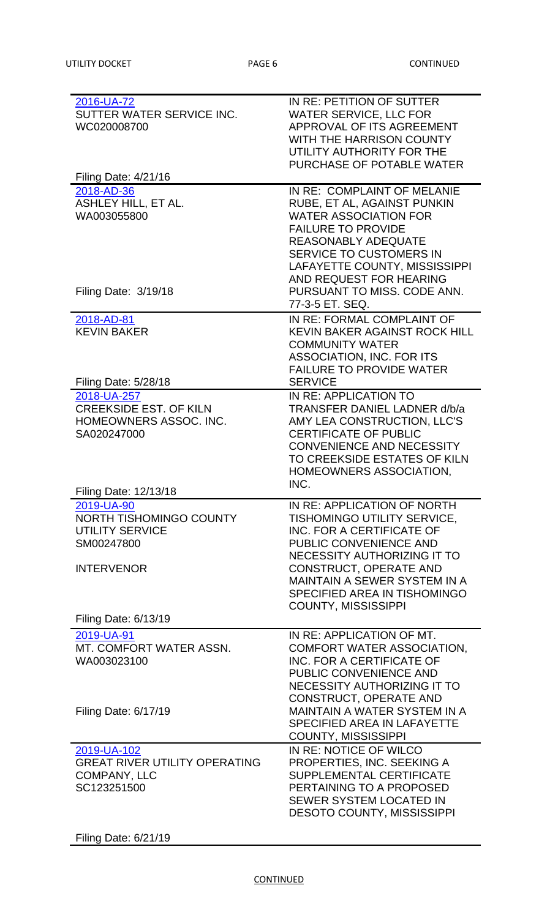| 2016-UA-72<br>SUTTER WATER SERVICE INC.<br>WC020008700                                                              | IN RE: PETITION OF SUTTER<br><b>WATER SERVICE, LLC FOR</b><br>APPROVAL OF ITS AGREEMENT<br>WITH THE HARRISON COUNTY<br>UTILITY AUTHORITY FOR THE<br>PURCHASE OF POTABLE WATER                                                                                      |
|---------------------------------------------------------------------------------------------------------------------|--------------------------------------------------------------------------------------------------------------------------------------------------------------------------------------------------------------------------------------------------------------------|
| Filing Date: 4/21/16                                                                                                |                                                                                                                                                                                                                                                                    |
| 2018-AD-36<br>ASHLEY HILL, ET AL.<br>WA003055800                                                                    | IN RE: COMPLAINT OF MELANIE<br>RUBE, ET AL, AGAINST PUNKIN<br><b>WATER ASSOCIATION FOR</b><br><b>FAILURE TO PROVIDE</b><br><b>REASONABLY ADEQUATE</b><br><b>SERVICE TO CUSTOMERS IN</b><br>LAFAYETTE COUNTY, MISSISSIPPI<br>AND REQUEST FOR HEARING                |
| Filing Date: 3/19/18                                                                                                | PURSUANT TO MISS. CODE ANN.<br>77-3-5 ET. SEQ.                                                                                                                                                                                                                     |
| 2018-AD-81<br><b>KEVIN BAKER</b>                                                                                    | IN RE: FORMAL COMPLAINT OF<br><b>KEVIN BAKER AGAINST ROCK HILL</b><br><b>COMMUNITY WATER</b><br>ASSOCIATION, INC. FOR ITS<br><b>FAILURE TO PROVIDE WATER</b>                                                                                                       |
| <b>Filing Date: 5/28/18</b>                                                                                         | <b>SERVICE</b>                                                                                                                                                                                                                                                     |
| 2018-UA-257<br><b>CREEKSIDE EST. OF KILN</b><br>HOMEOWNERS ASSOC. INC.<br>SA020247000<br>Filing Date: 12/13/18      | IN RE: APPLICATION TO<br>TRANSFER DANIEL LADNER d/b/a<br>AMY LEA CONSTRUCTION, LLC'S<br><b>CERTIFICATE OF PUBLIC</b><br><b>CONVENIENCE AND NECESSITY</b><br>TO CREEKSIDE ESTATES OF KILN<br>HOMEOWNERS ASSOCIATION,<br>INC.                                        |
| 2019-UA-90                                                                                                          | IN RE: APPLICATION OF NORTH                                                                                                                                                                                                                                        |
| <b>NORTH TISHOMINGO COUNTY</b><br><b>UTILITY SERVICE</b><br>SM00247800<br><b>INTERVENOR</b><br>Filing Date: 6/13/19 | TISHOMINGO UTILITY SERVICE,<br>INC. FOR A CERTIFICATE OF<br>PUBLIC CONVENIENCE AND<br>NECESSITY AUTHORIZING IT TO<br><b>CONSTRUCT, OPERATE AND</b><br><b>MAINTAIN A SEWER SYSTEM IN A</b><br>SPECIFIED AREA IN TISHOMINGO<br><b>COUNTY, MISSISSIPPI</b>            |
|                                                                                                                     |                                                                                                                                                                                                                                                                    |
| 2019-UA-91<br>MT. COMFORT WATER ASSN.<br>WA003023100<br>Filing Date: 6/17/19                                        | IN RE: APPLICATION OF MT.<br><b>COMFORT WATER ASSOCIATION,</b><br>INC. FOR A CERTIFICATE OF<br>PUBLIC CONVENIENCE AND<br>NECESSITY AUTHORIZING IT TO<br><b>CONSTRUCT, OPERATE AND</b><br><b>MAINTAIN A WATER SYSTEM IN A</b><br><b>SPECIFIED AREA IN LAFAYETTE</b> |
|                                                                                                                     | <b>COUNTY, MISSISSIPPI</b>                                                                                                                                                                                                                                         |
| 2019-UA-102<br><b>GREAT RIVER UTILITY OPERATING</b><br><b>COMPANY, LLC</b><br>SC123251500                           | IN RE: NOTICE OF WILCO<br>PROPERTIES, INC. SEEKING A<br><b>SUPPLEMENTAL CERTIFICATE</b><br>PERTAINING TO A PROPOSED<br><b>SEWER SYSTEM LOCATED IN</b><br><b>DESOTO COUNTY, MISSISSIPPI</b>                                                                         |

Filing Date: 6/21/19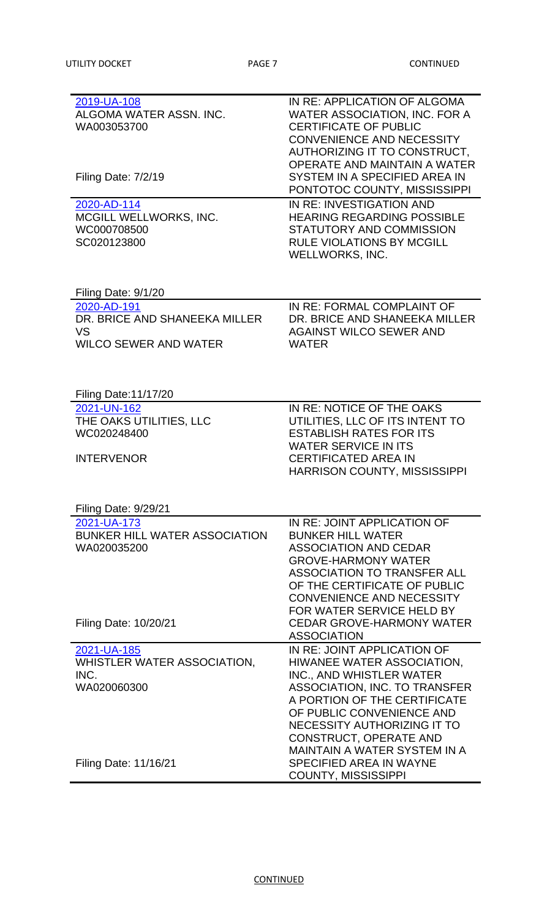| 2019-UA-108                          | IN RE: APPLICATION OF ALGOMA         |
|--------------------------------------|--------------------------------------|
| ALGOMA WATER ASSN. INC.              | <b>WATER ASSOCIATION, INC. FOR A</b> |
|                                      |                                      |
| WA003053700                          | <b>CERTIFICATE OF PUBLIC</b>         |
|                                      | <b>CONVENIENCE AND NECESSITY</b>     |
|                                      | AUTHORIZING IT TO CONSTRUCT,         |
|                                      | OPERATE AND MAINTAIN A WATER         |
|                                      |                                      |
| Filing Date: 7/2/19                  | SYSTEM IN A SPECIFIED AREA IN        |
|                                      | PONTOTOC COUNTY, MISSISSIPPI         |
| 2020-AD-114                          | IN RE: INVESTIGATION AND             |
|                                      | <b>HEARING REGARDING POSSIBLE</b>    |
| MCGILL WELLWORKS, INC.               |                                      |
| WC000708500                          | STATUTORY AND COMMISSION             |
| SC020123800                          | <b>RULE VIOLATIONS BY MCGILL</b>     |
|                                      | <b>WELLWORKS, INC.</b>               |
|                                      |                                      |
|                                      |                                      |
| Filing Date: 9/1/20                  |                                      |
|                                      |                                      |
| 2020-AD-191                          | IN RE: FORMAL COMPLAINT OF           |
| DR. BRICE AND SHANEEKA MILLER        | DR. BRICE AND SHANEEKA MILLER        |
| <b>VS</b>                            | <b>AGAINST WILCO SEWER AND</b>       |
| <b>WILCO SEWER AND WATER</b>         | <b>WATER</b>                         |
|                                      |                                      |
|                                      |                                      |
|                                      |                                      |
|                                      |                                      |
| <b>Filing Date:11/17/20</b>          |                                      |
| 2021-UN-162                          | IN RE: NOTICE OF THE OAKS            |
| THE OAKS UTILITIES, LLC              | UTILITIES, LLC OF ITS INTENT TO      |
| WC020248400                          | <b>ESTABLISH RATES FOR ITS</b>       |
|                                      |                                      |
|                                      | <b>WATER SERVICE IN ITS</b>          |
| <b>INTERVENOR</b>                    | <b>CERTIFICATED AREA IN</b>          |
|                                      | <b>HARRISON COUNTY, MISSISSIPPI</b>  |
|                                      |                                      |
|                                      |                                      |
| Filing Date: 9/29/21                 |                                      |
|                                      | IN RE: JOINT APPLICATION OF          |
| 2021-UA-173                          |                                      |
| <b>BUNKER HILL WATER ASSOCIATION</b> | <b>BUNKER HILL WATER</b>             |
| WA020035200                          | <b>ASSOCIATION AND CEDAR</b>         |
|                                      | <b>GROVE-HARMONY WATER</b>           |
|                                      | <b>ASSOCIATION TO TRANSFER ALL</b>   |
|                                      |                                      |
|                                      | OF THE CERTIFICATE OF PUBLIC         |
|                                      | <b>CONVENIENCE AND NECESSITY</b>     |
|                                      | FOR WATER SERVICE HELD BY            |
| Filing Date: 10/20/21                | <b>CEDAR GROVE-HARMONY WATER</b>     |
|                                      | <b>ASSOCIATION</b>                   |
|                                      |                                      |
| 2021-UA-185                          | IN RE: JOINT APPLICATION OF          |
| WHISTLER WATER ASSOCIATION,          | HIWANEE WATER ASSOCIATION,           |
| INC.                                 | INC., AND WHISTLER WATER             |
| WA020060300                          | <b>ASSOCIATION, INC. TO TRANSFER</b> |
|                                      | A PORTION OF THE CERTIFICATE         |
|                                      |                                      |
|                                      | OF PUBLIC CONVENIENCE AND            |
|                                      | NECESSITY AUTHORIZING IT TO          |
|                                      | <b>CONSTRUCT, OPERATE AND</b>        |
|                                      | <b>MAINTAIN A WATER SYSTEM IN A</b>  |
|                                      |                                      |
| Filing Date: 11/16/21                | <b>SPECIFIED AREA IN WAYNE</b>       |
|                                      | <b>COUNTY, MISSISSIPPI</b>           |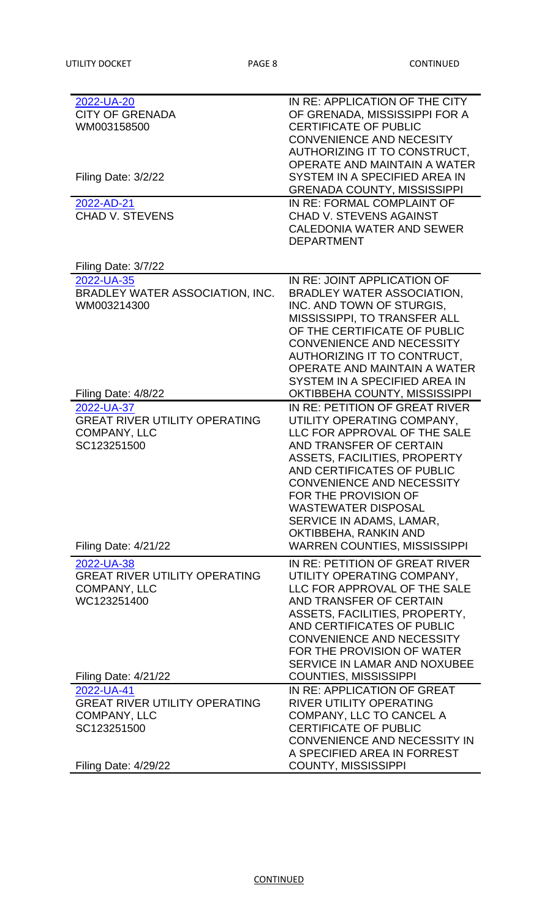| 2022-UA-20                           | IN RE: APPLICATION OF THE CITY      |
|--------------------------------------|-------------------------------------|
| <b>CITY OF GRENADA</b>               | OF GRENADA, MISSISSIPPI FOR A       |
| WM003158500                          | <b>CERTIFICATE OF PUBLIC</b>        |
|                                      | <b>CONVENIENCE AND NECESITY</b>     |
|                                      | AUTHORIZING IT TO CONSTRUCT,        |
|                                      | OPERATE AND MAINTAIN A WATER        |
| Filing Date: 3/2/22                  | SYSTEM IN A SPECIFIED AREA IN       |
|                                      | <b>GRENADA COUNTY, MISSISSIPPI</b>  |
| 2022-AD-21                           | IN RE: FORMAL COMPLAINT OF          |
| <b>CHAD V. STEVENS</b>               | <b>CHAD V. STEVENS AGAINST</b>      |
|                                      | <b>CALEDONIA WATER AND SEWER</b>    |
|                                      | <b>DEPARTMENT</b>                   |
|                                      |                                     |
| Filing Date: 3/7/22                  |                                     |
| 2022-UA-35                           | IN RE: JOINT APPLICATION OF         |
| BRADLEY WATER ASSOCIATION, INC.      | <b>BRADLEY WATER ASSOCIATION,</b>   |
| WM003214300                          | INC. AND TOWN OF STURGIS,           |
|                                      | <b>MISSISSIPPI, TO TRANSFER ALL</b> |
|                                      | OF THE CERTIFICATE OF PUBLIC        |
|                                      | <b>CONVENIENCE AND NECESSITY</b>    |
|                                      | AUTHORIZING IT TO CONTRUCT,         |
|                                      | OPERATE AND MAINTAIN A WATER        |
|                                      | SYSTEM IN A SPECIFIED AREA IN       |
| Filing Date: 4/8/22                  | OKTIBBEHA COUNTY, MISSISSIPPI       |
| 2022-UA-37                           | IN RE: PETITION OF GREAT RIVER      |
| <b>GREAT RIVER UTILITY OPERATING</b> | UTILITY OPERATING COMPANY,          |
| <b>COMPANY, LLC</b>                  | LLC FOR APPROVAL OF THE SALE        |
| SC123251500                          | AND TRANSFER OF CERTAIN             |
|                                      | <b>ASSETS, FACILITIES, PROPERTY</b> |
|                                      | AND CERTIFICATES OF PUBLIC          |
|                                      | <b>CONVENIENCE AND NECESSITY</b>    |
|                                      | FOR THE PROVISION OF                |
|                                      | <b>WASTEWATER DISPOSAL</b>          |
|                                      | SERVICE IN ADAMS, LAMAR,            |
|                                      | OKTIBBEHA, RANKIN AND               |
| <b>Filing Date: 4/21/22</b>          | <b>WARREN COUNTIES, MISSISSIPPI</b> |
| 2022-UA-38                           | IN RE: PETITION OF GREAT RIVER      |
| <b>GREAT RIVER UTILITY OPERATING</b> | UTILITY OPERATING COMPANY,          |
| <b>COMPANY, LLC</b>                  | LLC FOR APPROVAL OF THE SALE        |
| WC123251400                          | AND TRANSFER OF CERTAIN             |
|                                      | ASSETS, FACILITIES, PROPERTY,       |
|                                      | AND CERTIFICATES OF PUBLIC          |
|                                      | <b>CONVENIENCE AND NECESSITY</b>    |
|                                      | FOR THE PROVISION OF WATER          |
|                                      | SERVICE IN LAMAR AND NOXUBEE        |
| <b>Filing Date: 4/21/22</b>          | <b>COUNTIES, MISSISSIPPI</b>        |
| 2022-UA-41                           | IN RE: APPLICATION OF GREAT         |
| <b>GREAT RIVER UTILITY OPERATING</b> | <b>RIVER UTILITY OPERATING</b>      |
| <b>COMPANY, LLC</b>                  | COMPANY, LLC TO CANCEL A            |
| SC123251500                          | <b>CERTIFICATE OF PUBLIC</b>        |
|                                      | CONVENIENCE AND NECESSITY IN        |
|                                      | A SPECIFIED AREA IN FORREST         |
| Filing Date: 4/29/22                 | <b>COUNTY, MISSISSIPPI</b>          |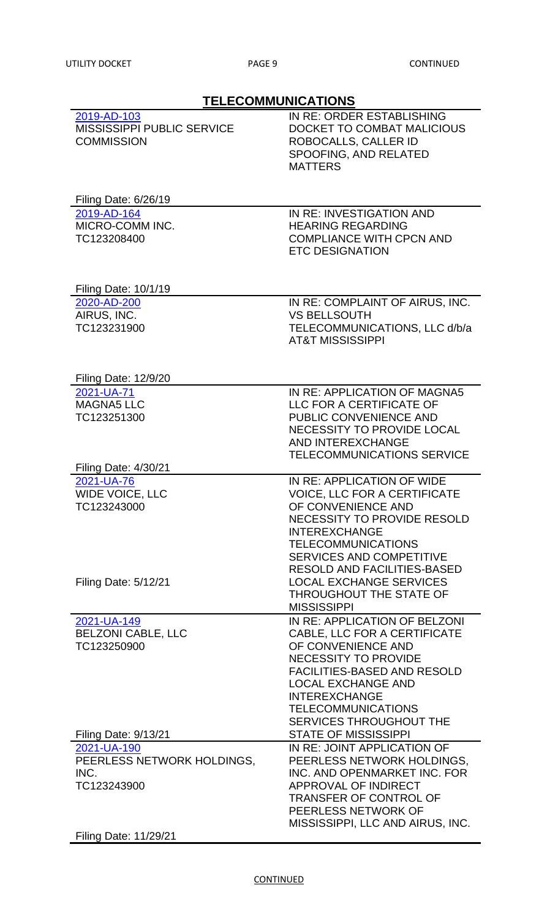| <b>TELECOMMUNICATIONS</b>                                                     |                                                                                                                                                                                                                                                                              |
|-------------------------------------------------------------------------------|------------------------------------------------------------------------------------------------------------------------------------------------------------------------------------------------------------------------------------------------------------------------------|
| 2019-AD-103<br><b>MISSISSIPPI PUBLIC SERVICE</b><br><b>COMMISSION</b>         | IN RE: ORDER ESTABLISHING<br>DOCKET TO COMBAT MALICIOUS<br>ROBOCALLS, CALLER ID<br>SPOOFING, AND RELATED<br><b>MATTERS</b>                                                                                                                                                   |
| Filing Date: 6/26/19                                                          |                                                                                                                                                                                                                                                                              |
| 2019-AD-164<br>MICRO-COMM INC.<br>TC123208400                                 | IN RE: INVESTIGATION AND<br><b>HEARING REGARDING</b><br><b>COMPLIANCE WITH CPCN AND</b><br><b>ETC DESIGNATION</b>                                                                                                                                                            |
| <b>Filing Date: 10/1/19</b>                                                   |                                                                                                                                                                                                                                                                              |
| 2020-AD-200<br>AIRUS, INC.<br>TC123231900                                     | IN RE: COMPLAINT OF AIRUS, INC.<br><b>VS BELLSOUTH</b><br>TELECOMMUNICATIONS, LLC d/b/a<br><b>AT&amp;T MISSISSIPPI</b>                                                                                                                                                       |
| <b>Filing Date: 12/9/20</b>                                                   |                                                                                                                                                                                                                                                                              |
| 2021-UA-71<br><b>MAGNA5 LLC</b><br>TC123251300<br><b>Filing Date: 4/30/21</b> | IN RE: APPLICATION OF MAGNA5<br>LLC FOR A CERTIFICATE OF<br>PUBLIC CONVENIENCE AND<br>NECESSITY TO PROVIDE LOCAL<br><b>AND INTEREXCHANGE</b><br>TELECOMMUNICATIONS SERVICE                                                                                                   |
| 2021-UA-76<br><b>WIDE VOICE, LLC</b><br>TC123243000                           | IN RE: APPLICATION OF WIDE<br><b>VOICE, LLC FOR A CERTIFICATE</b><br>OF CONVENIENCE AND<br><b>NECESSITY TO PROVIDE RESOLD</b><br><b>INTEREXCHANGE</b><br><b>TELECOMMUNICATIONS</b><br><b>SERVICES AND COMPETITIVE</b>                                                        |
| <b>Filing Date: 5/12/21</b>                                                   | <b>RESOLD AND FACILITIES-BASED</b><br><b>LOCAL EXCHANGE SERVICES</b><br>THROUGHOUT THE STATE OF<br><b>MISSISSIPPI</b>                                                                                                                                                        |
| 2021-UA-149<br><b>BELZONI CABLE, LLC</b><br>TC123250900                       | IN RE: APPLICATION OF BELZONI<br>CABLE, LLC FOR A CERTIFICATE<br>OF CONVENIENCE AND<br><b>NECESSITY TO PROVIDE</b><br><b>FACILITIES-BASED AND RESOLD</b><br><b>LOCAL EXCHANGE AND</b><br><b>INTEREXCHANGE</b><br><b>TELECOMMUNICATIONS</b><br><b>SERVICES THROUGHOUT THE</b> |
| <b>Filing Date: 9/13/21</b>                                                   | <b>STATE OF MISSISSIPPI</b>                                                                                                                                                                                                                                                  |
| 2021-UA-190<br>PEERLESS NETWORK HOLDINGS,<br>INC.<br>TC123243900              | IN RE: JOINT APPLICATION OF<br>PEERLESS NETWORK HOLDINGS,<br>INC. AND OPENMARKET INC. FOR<br><b>APPROVAL OF INDIRECT</b><br><b>TRANSFER OF CONTROL OF</b><br>PEERLESS NETWORK OF<br>MISSISSIPPI, LLC AND AIRUS, INC.                                                         |

Filing Date: 11/29/21

## **CONTINUED**